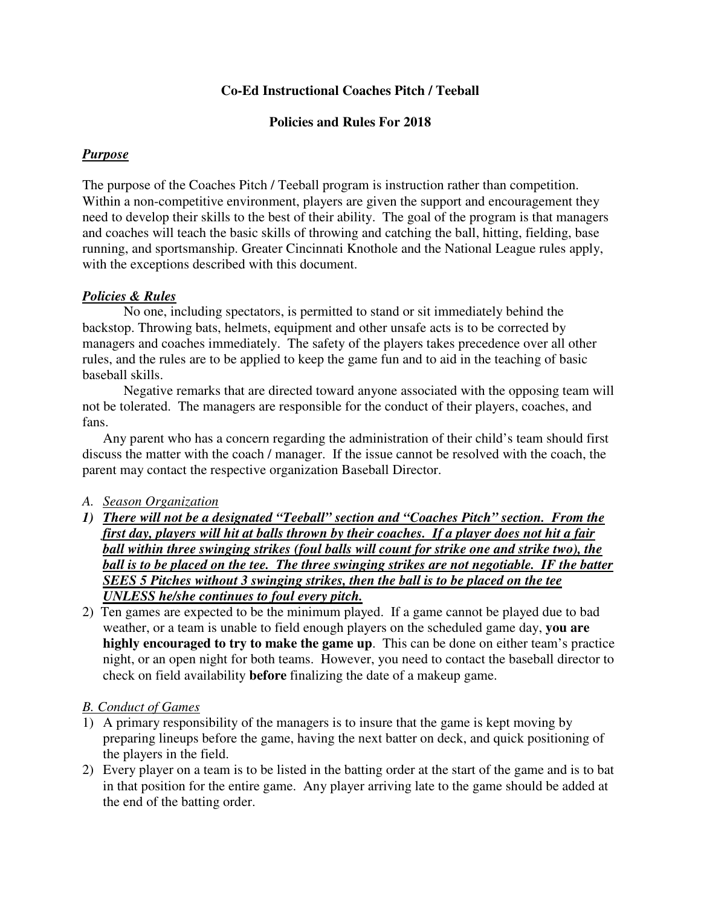## **Co-Ed Instructional Coaches Pitch / Teeball**

#### **Policies and Rules For 2018**

### *Purpose*

The purpose of the Coaches Pitch / Teeball program is instruction rather than competition. Within a non-competitive environment, players are given the support and encouragement they need to develop their skills to the best of their ability. The goal of the program is that managers and coaches will teach the basic skills of throwing and catching the ball, hitting, fielding, base running, and sportsmanship. Greater Cincinnati Knothole and the National League rules apply, with the exceptions described with this document.

### *Policies & Rules*

No one, including spectators, is permitted to stand or sit immediately behind the backstop. Throwing bats, helmets, equipment and other unsafe acts is to be corrected by managers and coaches immediately. The safety of the players takes precedence over all other rules, and the rules are to be applied to keep the game fun and to aid in the teaching of basic baseball skills.

Negative remarks that are directed toward anyone associated with the opposing team will not be tolerated. The managers are responsible for the conduct of their players, coaches, and fans.

Any parent who has a concern regarding the administration of their child's team should first discuss the matter with the coach / manager. If the issue cannot be resolved with the coach, the parent may contact the respective organization Baseball Director.

### *A. Season Organization*

- *1) There will not be a designated "Teeball" section and "Coaches Pitch" section. From the first day, players will hit at balls thrown by their coaches. If a player does not hit a fair ball within three swinging strikes (foul balls will count for strike one and strike two), the*  ball is to be placed on the tee. The three swinging strikes are not negotiable. IF the batter *SEES 5 Pitches without 3 swinging strikes, then the ball is to be placed on the tee UNLESS he/she continues to foul every pitch.*
- 2) Ten games are expected to be the minimum played. If a game cannot be played due to bad weather, or a team is unable to field enough players on the scheduled game day, **you are highly encouraged to try to make the game up**. This can be done on either team's practice night, or an open night for both teams. However, you need to contact the baseball director to check on field availability **before** finalizing the date of a makeup game.

### *B. Conduct of Games*

- 1) A primary responsibility of the managers is to insure that the game is kept moving by preparing lineups before the game, having the next batter on deck, and quick positioning of the players in the field.
- 2) Every player on a team is to be listed in the batting order at the start of the game and is to bat in that position for the entire game. Any player arriving late to the game should be added at the end of the batting order.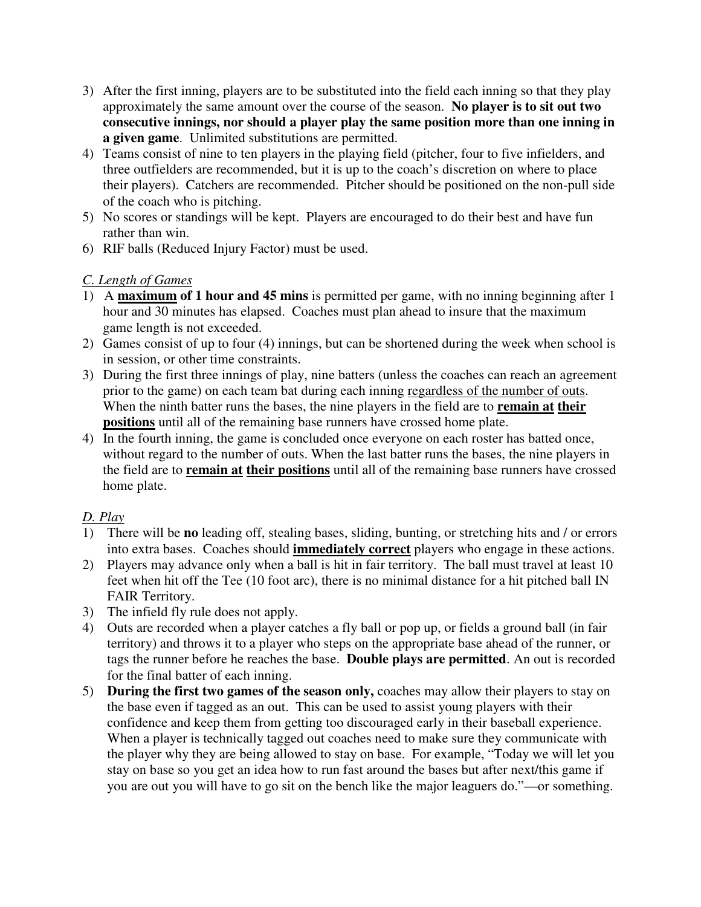- 3) After the first inning, players are to be substituted into the field each inning so that they play approximately the same amount over the course of the season. **No player is to sit out two consecutive innings, nor should a player play the same position more than one inning in a given game**. Unlimited substitutions are permitted.
- 4) Teams consist of nine to ten players in the playing field (pitcher, four to five infielders, and three outfielders are recommended, but it is up to the coach's discretion on where to place their players). Catchers are recommended. Pitcher should be positioned on the non-pull side of the coach who is pitching.
- 5) No scores or standings will be kept. Players are encouraged to do their best and have fun rather than win.
- 6) RIF balls (Reduced Injury Factor) must be used.

# *C. Length of Games*

- 1) A **maximum of 1 hour and 45 mins** is permitted per game, with no inning beginning after 1 hour and 30 minutes has elapsed. Coaches must plan ahead to insure that the maximum game length is not exceeded.
- 2) Games consist of up to four (4) innings, but can be shortened during the week when school is in session, or other time constraints.
- 3) During the first three innings of play, nine batters (unless the coaches can reach an agreement prior to the game) on each team bat during each inning regardless of the number of outs. When the ninth batter runs the bases, the nine players in the field are to **remain at their positions** until all of the remaining base runners have crossed home plate.
- 4) In the fourth inning, the game is concluded once everyone on each roster has batted once, without regard to the number of outs. When the last batter runs the bases, the nine players in the field are to **remain at their positions** until all of the remaining base runners have crossed home plate.

# *D. Play*

- 1) There will be **no** leading off, stealing bases, sliding, bunting, or stretching hits and / or errors into extra bases. Coaches should **immediately correct** players who engage in these actions.
- 2) Players may advance only when a ball is hit in fair territory. The ball must travel at least 10 feet when hit off the Tee (10 foot arc), there is no minimal distance for a hit pitched ball IN FAIR Territory.
- 3) The infield fly rule does not apply.
- 4) Outs are recorded when a player catches a fly ball or pop up, or fields a ground ball (in fair territory) and throws it to a player who steps on the appropriate base ahead of the runner, or tags the runner before he reaches the base. **Double plays are permitted**. An out is recorded for the final batter of each inning.
- 5) **During the first two games of the season only,** coaches may allow their players to stay on the base even if tagged as an out. This can be used to assist young players with their confidence and keep them from getting too discouraged early in their baseball experience. When a player is technically tagged out coaches need to make sure they communicate with the player why they are being allowed to stay on base. For example, "Today we will let you stay on base so you get an idea how to run fast around the bases but after next/this game if you are out you will have to go sit on the bench like the major leaguers do."—or something.